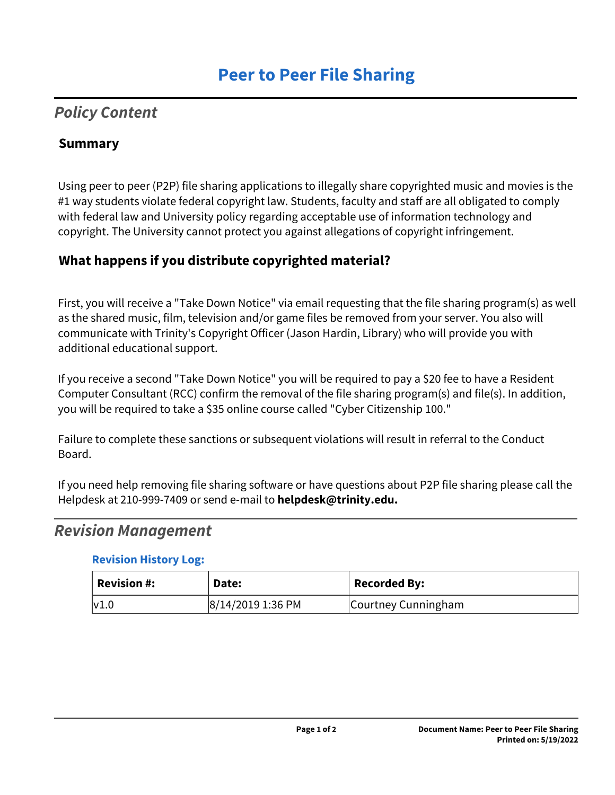# *Policy Content*

### **Summary**

Using peer to peer (P2P) file sharing applications to illegally share copyrighted music and movies is the #1 way students violate federal copyright law. Students, faculty and staff are all obligated to comply with federal law and University policy regarding acceptable use of information technology and copyright. The University cannot protect you against allegations of copyright infringement.

# **What happens if you distribute copyrighted material?**

First, you will receive a "Take Down Notice" via email requesting that the file sharing program(s) as well as the shared music, film, television and/or game files be removed from your server. You also will communicate with Trinity's Copyright Officer (Jason Hardin, Library) who will provide you with additional educational support.

If you receive a second "Take Down Notice" you will be required to pay a \$20 fee to have a Resident Computer Consultant (RCC) confirm the removal of the file sharing program(s) and file(s). In addition, you will be required to take a \$35 online course called "Cyber Citizenship 100."

Failure to complete these sanctions or subsequent violations will result in referral to the Conduct Board.

If you need help removing file sharing software or have questions about P2P file sharing please call the Helpdesk at 210-999-7409 or send e-mail to **helpdesk@trinity.edu.**

## *Revision Management*

#### **Revision History Log:**

| $^{\mathrm{!}}$ Revision #: | Date:             | Recorded By:        |
|-----------------------------|-------------------|---------------------|
| v1.0                        | 8/14/2019 1:36 PM | Courtney Cunningham |